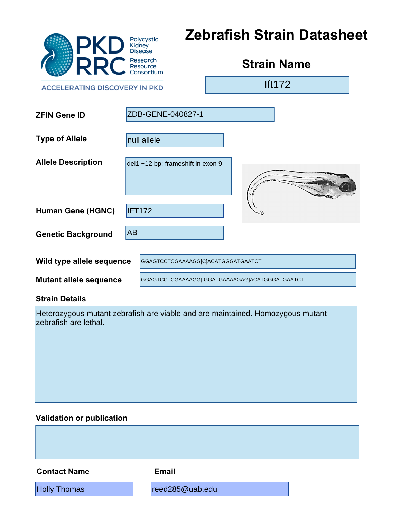| <b>PKD</b>                                                                                              |           | Polycystic<br>Kidney<br>Disease                | <b>Zebrafish Strain Datasheet</b> |                    |  |  |
|---------------------------------------------------------------------------------------------------------|-----------|------------------------------------------------|-----------------------------------|--------------------|--|--|
| <b>RR</b>                                                                                               |           | Research<br>Resource<br>Consortium             |                                   | <b>Strain Name</b> |  |  |
| <b>ACCELERATING DISCOVERY IN PKD</b>                                                                    |           |                                                |                                   | <b>Ift172</b>      |  |  |
| <b>ZFIN Gene ID</b>                                                                                     |           | ZDB-GENE-040827-1                              |                                   |                    |  |  |
| <b>Type of Allele</b>                                                                                   |           | null allele                                    |                                   |                    |  |  |
| <b>Allele Description</b>                                                                               |           | del1 +12 bp; frameshift in exon 9              |                                   |                    |  |  |
| <b>Human Gene (HGNC)</b>                                                                                | IFT172    |                                                |                                   |                    |  |  |
| <b>Genetic Background</b>                                                                               | <b>AB</b> |                                                |                                   |                    |  |  |
| Wild type allele sequence                                                                               |           | GGAGTCCTCGAAAAGG[C]ACATGGGATGAATCT             |                                   |                    |  |  |
| <b>Mutant allele sequence</b>                                                                           |           | GGAGTCCTCGAAAAGG[-GGATGAAAAGAG]ACATGGGATGAATCT |                                   |                    |  |  |
| <b>Strain Details</b>                                                                                   |           |                                                |                                   |                    |  |  |
| Heterozygous mutant zebrafish are viable and are maintained. Homozygous mutant<br>zebrafish are lethal. |           |                                                |                                   |                    |  |  |
| <b>Validation or publication</b>                                                                        |           |                                                |                                   |                    |  |  |
|                                                                                                         |           |                                                |                                   |                    |  |  |
| <b>Contact Name</b>                                                                                     |           | <b>Email</b>                                   |                                   |                    |  |  |
| <b>Holly Thomas</b>                                                                                     |           | reed285@uab.edu                                |                                   |                    |  |  |

### **Validation or publication**

**Contact Name Email**